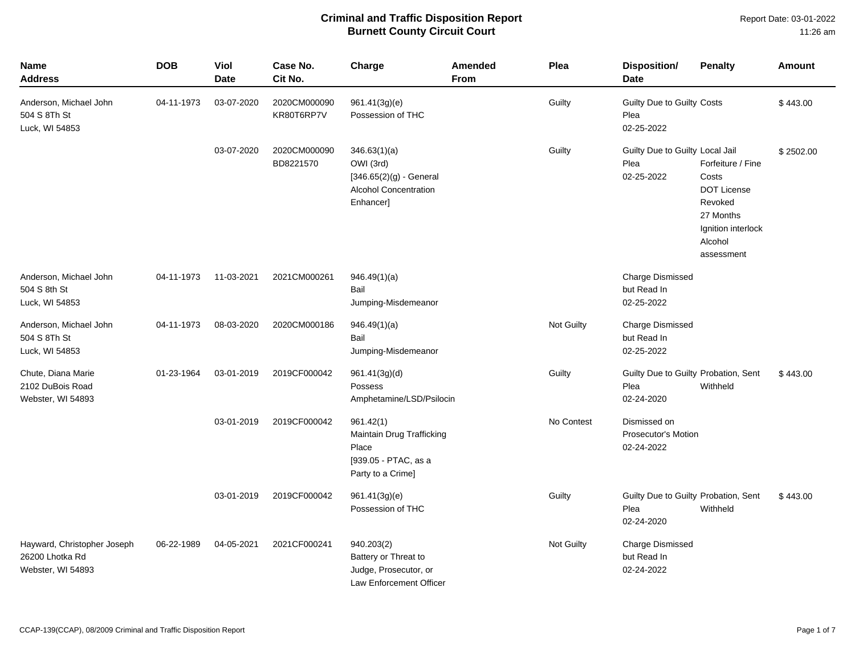Report Date: 03-01-2022 11:26 am

| Name<br><b>Address</b>                                              | <b>DOB</b> | Viol<br><b>Date</b> | Case No.<br>Cit No.        | Charge                                                                                       | Amended<br><b>From</b> | Plea              | <b>Disposition/</b><br><b>Date</b>                         | <b>Penalty</b>                                                                                                          | Amount    |
|---------------------------------------------------------------------|------------|---------------------|----------------------------|----------------------------------------------------------------------------------------------|------------------------|-------------------|------------------------------------------------------------|-------------------------------------------------------------------------------------------------------------------------|-----------|
| Anderson, Michael John<br>504 S 8Th St<br>Luck, WI 54853            | 04-11-1973 | 03-07-2020          | 2020CM000090<br>KR80T6RP7V | 961.41(3g)(e)<br>Possession of THC                                                           |                        | Guilty            | Guilty Due to Guilty Costs<br>Plea<br>02-25-2022           |                                                                                                                         | \$443.00  |
|                                                                     |            | 03-07-2020          | 2020CM000090<br>BD8221570  | 346.63(1)(a)<br>OWI (3rd)<br>$[346.65(2)(g)$ - General<br>Alcohol Concentration<br>Enhancer] |                        | Guilty            | Guilty Due to Guilty Local Jail<br>Plea<br>02-25-2022      | Forfeiture / Fine<br>Costs<br><b>DOT License</b><br>Revoked<br>27 Months<br>Ignition interlock<br>Alcohol<br>assessment | \$2502.00 |
| Anderson, Michael John<br>504 S 8th St<br>Luck, WI 54853            | 04-11-1973 | 11-03-2021          | 2021CM000261               | 946.49(1)(a)<br>Bail<br>Jumping-Misdemeanor                                                  |                        |                   | <b>Charge Dismissed</b><br>but Read In<br>02-25-2022       |                                                                                                                         |           |
| Anderson, Michael John<br>504 S 8Th St<br>Luck, WI 54853            | 04-11-1973 | 08-03-2020          | 2020CM000186               | 946.49(1)(a)<br>Bail<br>Jumping-Misdemeanor                                                  |                        | Not Guilty        | <b>Charge Dismissed</b><br>but Read In<br>02-25-2022       |                                                                                                                         |           |
| Chute, Diana Marie<br>2102 DuBois Road<br>Webster, WI 54893         | 01-23-1964 | 03-01-2019          | 2019CF000042               | 961.41(3g)(d)<br>Possess<br>Amphetamine/LSD/Psilocin                                         |                        | Guilty            | Guilty Due to Guilty Probation, Sent<br>Plea<br>02-24-2020 | Withheld                                                                                                                | \$443.00  |
|                                                                     |            | 03-01-2019          | 2019CF000042               | 961.42(1)<br>Maintain Drug Trafficking<br>Place<br>[939.05 - PTAC, as a<br>Party to a Crime] |                        | No Contest        | Dismissed on<br><b>Prosecutor's Motion</b><br>02-24-2022   |                                                                                                                         |           |
|                                                                     |            | 03-01-2019          | 2019CF000042               | 961.41(3g)(e)<br>Possession of THC                                                           |                        | Guilty            | Guilty Due to Guilty Probation, Sent<br>Plea<br>02-24-2020 | Withheld                                                                                                                | \$443.00  |
| Hayward, Christopher Joseph<br>26200 Lhotka Rd<br>Webster, WI 54893 | 06-22-1989 | 04-05-2021          | 2021CF000241               | 940.203(2)<br>Battery or Threat to<br>Judge, Prosecutor, or<br>Law Enforcement Officer       |                        | <b>Not Guilty</b> | <b>Charge Dismissed</b><br>but Read In<br>02-24-2022       |                                                                                                                         |           |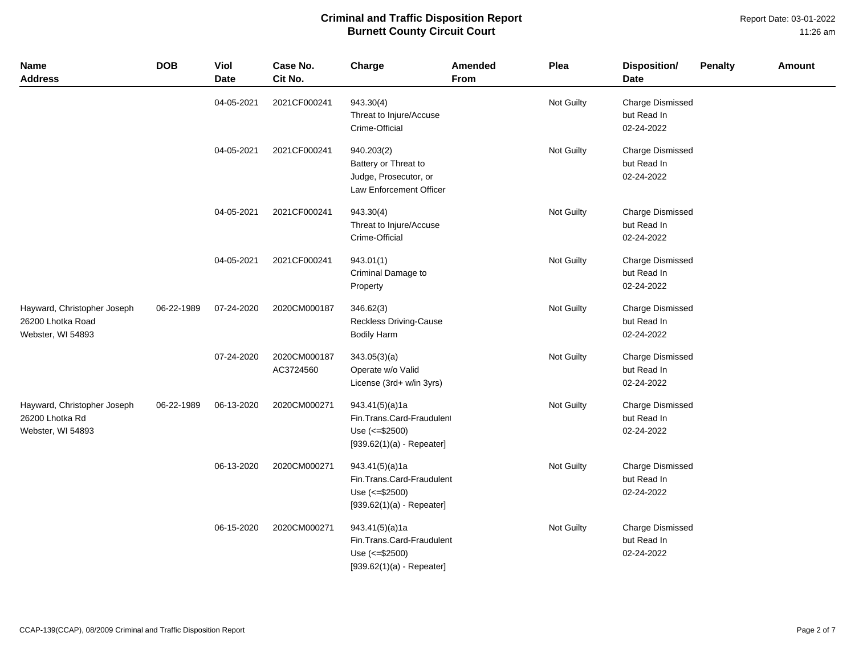#### Report Date: 03-01-2022 11:26 am

| <b>Name</b><br><b>Address</b>                                         | <b>DOB</b> | <b>Viol</b><br><b>Date</b> | Case No.<br>Cit No.       | Charge                                                                                         | Amended<br><b>From</b> | Plea       | <b>Disposition/</b><br><b>Date</b>                   | <b>Penalty</b> | <b>Amount</b> |
|-----------------------------------------------------------------------|------------|----------------------------|---------------------------|------------------------------------------------------------------------------------------------|------------------------|------------|------------------------------------------------------|----------------|---------------|
|                                                                       |            | 04-05-2021                 | 2021CF000241              | 943.30(4)<br>Threat to Injure/Accuse<br>Crime-Official                                         |                        | Not Guilty | <b>Charge Dismissed</b><br>but Read In<br>02-24-2022 |                |               |
|                                                                       |            | 04-05-2021                 | 2021CF000241              | 940.203(2)<br>Battery or Threat to<br>Judge, Prosecutor, or<br>Law Enforcement Officer         |                        | Not Guilty | Charge Dismissed<br>but Read In<br>02-24-2022        |                |               |
|                                                                       |            | 04-05-2021                 | 2021CF000241              | 943.30(4)<br>Threat to Injure/Accuse<br>Crime-Official                                         |                        | Not Guilty | <b>Charge Dismissed</b><br>but Read In<br>02-24-2022 |                |               |
|                                                                       |            | 04-05-2021                 | 2021CF000241              | 943.01(1)<br>Criminal Damage to<br>Property                                                    |                        | Not Guilty | <b>Charge Dismissed</b><br>but Read In<br>02-24-2022 |                |               |
| Hayward, Christopher Joseph<br>26200 Lhotka Road<br>Webster, WI 54893 | 06-22-1989 | 07-24-2020                 | 2020CM000187              | 346.62(3)<br><b>Reckless Driving-Cause</b><br><b>Bodily Harm</b>                               |                        | Not Guilty | <b>Charge Dismissed</b><br>but Read In<br>02-24-2022 |                |               |
|                                                                       |            | 07-24-2020                 | 2020CM000187<br>AC3724560 | 343.05(3)(a)<br>Operate w/o Valid<br>License (3rd+ w/in 3yrs)                                  |                        | Not Guilty | <b>Charge Dismissed</b><br>but Read In<br>02-24-2022 |                |               |
| Hayward, Christopher Joseph<br>26200 Lhotka Rd<br>Webster, WI 54893   | 06-22-1989 | 06-13-2020                 | 2020CM000271              | 943.41(5)(a)1a<br>Fin.Trans.Card-Fraudulent<br>Use (<= \$2500)<br>$[939.62(1)(a) - Repeater]$  |                        | Not Guilty | Charge Dismissed<br>but Read In<br>02-24-2022        |                |               |
|                                                                       |            | 06-13-2020                 | 2020CM000271              | 943.41(5)(a)1a<br>Fin.Trans.Card-Fraudulent<br>Use $(<= $2500)$<br>$[939.62(1)(a) - Repeater]$ |                        | Not Guilty | <b>Charge Dismissed</b><br>but Read In<br>02-24-2022 |                |               |
|                                                                       |            | 06-15-2020                 | 2020CM000271              | 943.41(5)(a)1a<br>Fin.Trans.Card-Fraudulent<br>Use (<= \$2500)<br>$[939.62(1)(a) - Repeater]$  |                        | Not Guilty | <b>Charge Dismissed</b><br>but Read In<br>02-24-2022 |                |               |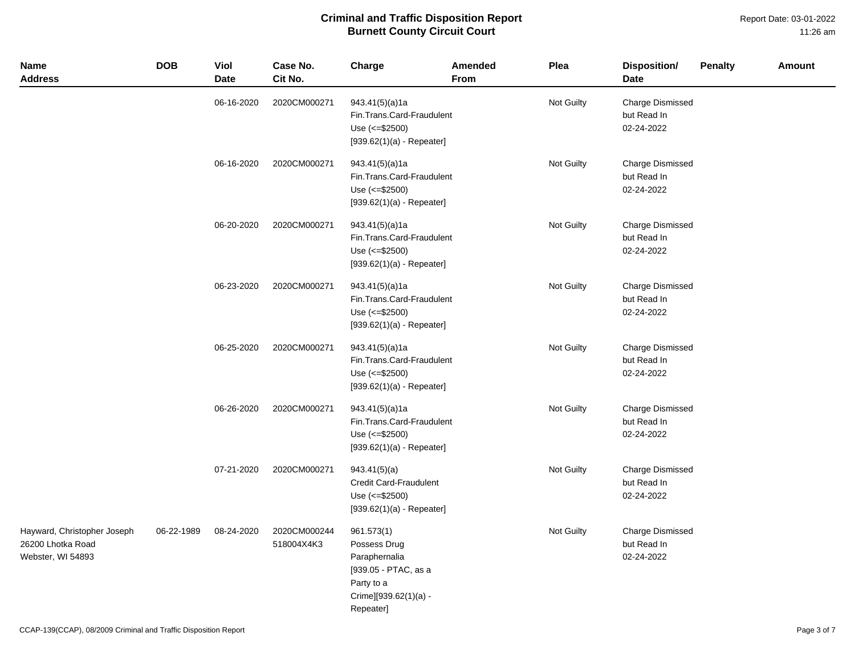| Name<br><b>Address</b>                                                | <b>DOB</b> | Viol<br><b>Date</b> | Case No.<br>Cit No.        | Charge                                                                                                                  | Amended<br>From | Plea       | Disposition/<br><b>Date</b>                          | <b>Penalty</b> | Amount |
|-----------------------------------------------------------------------|------------|---------------------|----------------------------|-------------------------------------------------------------------------------------------------------------------------|-----------------|------------|------------------------------------------------------|----------------|--------|
|                                                                       |            | 06-16-2020          | 2020CM000271               | 943.41(5)(a)1a<br>Fin.Trans.Card-Fraudulent<br>Use $(<= $2500)$<br>$[939.62(1)(a) - Repeater]$                          |                 | Not Guilty | <b>Charge Dismissed</b><br>but Read In<br>02-24-2022 |                |        |
|                                                                       |            | 06-16-2020          | 2020CM000271               | 943.41(5)(a)1a<br>Fin.Trans.Card-Fraudulent<br>Use $(<= $2500)$<br>$[939.62(1)(a) - Repeater]$                          |                 | Not Guilty | <b>Charge Dismissed</b><br>but Read In<br>02-24-2022 |                |        |
|                                                                       |            | 06-20-2020          | 2020CM000271               | 943.41(5)(a)1a<br>Fin.Trans.Card-Fraudulent<br>Use $(<= $2500)$<br>$[939.62(1)(a) - Repeated]$                          |                 | Not Guilty | Charge Dismissed<br>but Read In<br>02-24-2022        |                |        |
|                                                                       |            | 06-23-2020          | 2020CM000271               | 943.41(5)(a)1a<br>Fin.Trans.Card-Fraudulent<br>Use (<= \$2500)<br>$[939.62(1)(a) - Repeated]$                           |                 | Not Guilty | <b>Charge Dismissed</b><br>but Read In<br>02-24-2022 |                |        |
|                                                                       |            | 06-25-2020          | 2020CM000271               | 943.41(5)(a)1a<br>Fin.Trans.Card-Fraudulent<br>Use (<= \$2500)<br>$[939.62(1)(a) - Repeated]$                           |                 | Not Guilty | Charge Dismissed<br>but Read In<br>02-24-2022        |                |        |
|                                                                       |            | 06-26-2020          | 2020CM000271               | 943.41(5)(a)1a<br>Fin.Trans.Card-Fraudulent<br>Use $(<= $2500)$<br>$[939.62(1)(a) - Repeated]$                          |                 | Not Guilty | <b>Charge Dismissed</b><br>but Read In<br>02-24-2022 |                |        |
|                                                                       |            | 07-21-2020          | 2020CM000271               | 943.41(5)(a)<br>Credit Card-Fraudulent<br>Use $(<= $2500)$<br>$[939.62(1)(a) - Repeater]$                               |                 | Not Guilty | <b>Charge Dismissed</b><br>but Read In<br>02-24-2022 |                |        |
| Hayward, Christopher Joseph<br>26200 Lhotka Road<br>Webster, WI 54893 | 06-22-1989 | 08-24-2020          | 2020CM000244<br>518004X4K3 | 961.573(1)<br>Possess Drug<br>Paraphernalia<br>[939.05 - PTAC, as a<br>Party to a<br>Crime][939.62(1)(a) -<br>Repeater] |                 | Not Guilty | <b>Charge Dismissed</b><br>but Read In<br>02-24-2022 |                |        |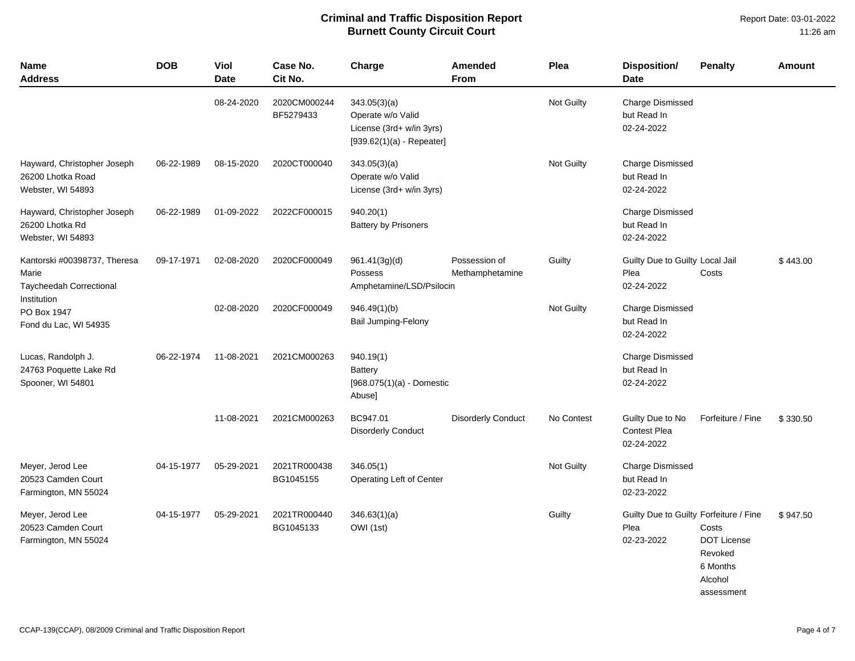| Name<br><b>Address</b>                                                | <b>DOB</b>                                                               | <b>Viol</b><br><b>Date</b> | Case No.<br>Cit No.       | Charge                                                                                       | <b>Amended</b><br><b>From</b>                        | Plea       | <b>Disposition/</b><br><b>Date</b>                           | <b>Penalty</b>                                                              | <b>Amount</b> |
|-----------------------------------------------------------------------|--------------------------------------------------------------------------|----------------------------|---------------------------|----------------------------------------------------------------------------------------------|------------------------------------------------------|------------|--------------------------------------------------------------|-----------------------------------------------------------------------------|---------------|
|                                                                       |                                                                          | 08-24-2020                 | 2020CM000244<br>BF5279433 | 343.05(3)(a)<br>Operate w/o Valid<br>License (3rd+ w/in 3yrs)<br>$[939.62(1)(a) - Repeated]$ |                                                      | Not Guilty | <b>Charge Dismissed</b><br>but Read In<br>02-24-2022         |                                                                             |               |
| Hayward, Christopher Joseph<br>26200 Lhotka Road<br>Webster, WI 54893 | 06-22-1989                                                               | 08-15-2020                 | 2020CT000040              | 343.05(3)(a)<br>Operate w/o Valid<br>License (3rd+ w/in 3yrs)                                |                                                      | Not Guilty | <b>Charge Dismissed</b><br>but Read In<br>02-24-2022         |                                                                             |               |
| Hayward, Christopher Joseph<br>26200 Lhotka Rd<br>Webster, WI 54893   | 06-22-1989                                                               | 01-09-2022                 | 2022CF000015              | 940.20(1)<br><b>Battery by Prisoners</b>                                                     |                                                      |            | <b>Charge Dismissed</b><br>but Read In<br>02-24-2022         |                                                                             |               |
| Kantorski #00398737, Theresa<br>Marie<br>Taycheedah Correctional      | 09-17-1971                                                               | 02-08-2020                 | 2020CF000049              | 961.41(3g)(d)<br>Possess<br>Amphetamine/LSD/Psilocin                                         | Possession of<br>Methamphetamine                     | Guilty     | Guilty Due to Guilty Local Jail<br>Plea<br>02-24-2022        | Costs                                                                       | \$443.00      |
| Institution<br>PO Box 1947<br>Fond du Lac, WI 54935                   | 02-08-2020<br>2020CF000049<br>946.49(1)(b)<br><b>Bail Jumping-Felony</b> |                            |                           | Not Guilty                                                                                   | <b>Charge Dismissed</b><br>but Read In<br>02-24-2022 |            |                                                              |                                                                             |               |
| Lucas, Randolph J.<br>24763 Poquette Lake Rd<br>Spooner, WI 54801     | 06-22-1974                                                               | 11-08-2021                 | 2021CM000263              | 940.19(1)<br>Battery<br>[968.075(1)(a) - Domestic<br>Abuse]                                  |                                                      |            | <b>Charge Dismissed</b><br>but Read In<br>02-24-2022         |                                                                             |               |
|                                                                       |                                                                          | 11-08-2021                 | 2021CM000263              | BC947.01<br><b>Disorderly Conduct</b>                                                        | <b>Disorderly Conduct</b>                            | No Contest | Guilty Due to No<br><b>Contest Plea</b><br>02-24-2022        | Forfeiture / Fine                                                           | \$330.50      |
| Meyer, Jerod Lee<br>20523 Camden Court<br>Farmington, MN 55024        | 04-15-1977                                                               | 05-29-2021                 | 2021TR000438<br>BG1045155 | 346.05(1)<br>Operating Left of Center                                                        |                                                      | Not Guilty | <b>Charge Dismissed</b><br>but Read In<br>02-23-2022         |                                                                             |               |
| Meyer, Jerod Lee<br>20523 Camden Court<br>Farmington, MN 55024        | 04-15-1977                                                               | 05-29-2021                 | 2021TR000440<br>BG1045133 | 346.63(1)(a)<br>OWI (1st)                                                                    |                                                      | Guilty     | Guilty Due to Guilty Forfeiture / Fine<br>Plea<br>02-23-2022 | Costs<br><b>DOT License</b><br>Revoked<br>6 Months<br>Alcohol<br>assessment | \$947.50      |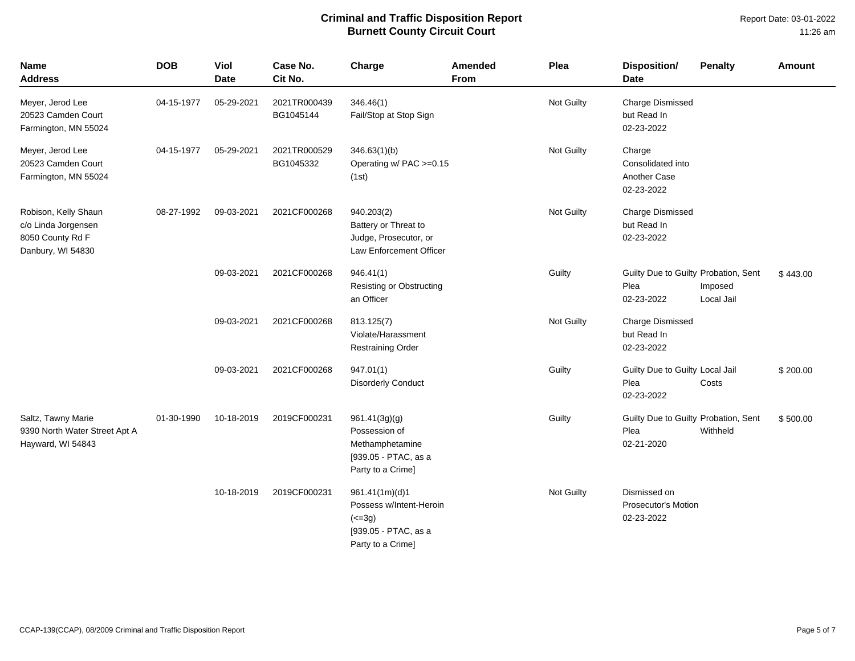| <b>Name</b><br><b>Address</b>                                                        | <b>DOB</b> | Viol<br><b>Date</b> | Case No.<br>Cit No.       | Charge                                                                                               | Amended<br><b>From</b> | Plea              | <b>Disposition/</b><br><b>Date</b>                         | <b>Penalty</b>        | Amount   |
|--------------------------------------------------------------------------------------|------------|---------------------|---------------------------|------------------------------------------------------------------------------------------------------|------------------------|-------------------|------------------------------------------------------------|-----------------------|----------|
| Meyer, Jerod Lee<br>20523 Camden Court<br>Farmington, MN 55024                       | 04-15-1977 | 05-29-2021          | 2021TR000439<br>BG1045144 | 346.46(1)<br>Fail/Stop at Stop Sign                                                                  |                        | Not Guilty        | <b>Charge Dismissed</b><br>but Read In<br>02-23-2022       |                       |          |
| Meyer, Jerod Lee<br>20523 Camden Court<br>Farmington, MN 55024                       | 04-15-1977 | 05-29-2021          | 2021TR000529<br>BG1045332 | 346.63(1)(b)<br>Operating w/ PAC >=0.15<br>(1st)                                                     |                        | <b>Not Guilty</b> | Charge<br>Consolidated into<br>Another Case<br>02-23-2022  |                       |          |
| Robison, Kelly Shaun<br>c/o Linda Jorgensen<br>8050 County Rd F<br>Danbury, WI 54830 | 08-27-1992 | 09-03-2021          | 2021CF000268              | 940.203(2)<br>Battery or Threat to<br>Judge, Prosecutor, or<br>Law Enforcement Officer               |                        | <b>Not Guilty</b> | <b>Charge Dismissed</b><br>but Read In<br>02-23-2022       |                       |          |
|                                                                                      |            | 09-03-2021          | 2021CF000268              | 946.41(1)<br><b>Resisting or Obstructing</b><br>an Officer                                           |                        | Guilty            | Guilty Due to Guilty Probation, Sent<br>Plea<br>02-23-2022 | Imposed<br>Local Jail | \$443.00 |
|                                                                                      |            | 09-03-2021          | 2021CF000268              | 813.125(7)<br>Violate/Harassment<br><b>Restraining Order</b>                                         |                        | <b>Not Guilty</b> | <b>Charge Dismissed</b><br>but Read In<br>02-23-2022       |                       |          |
|                                                                                      |            | 09-03-2021          | 2021CF000268              | 947.01(1)<br><b>Disorderly Conduct</b>                                                               |                        | Guilty            | Guilty Due to Guilty Local Jail<br>Plea<br>02-23-2022      | Costs                 | \$200.00 |
| Saltz, Tawny Marie<br>9390 North Water Street Apt A<br>Hayward, WI 54843             | 01-30-1990 | 10-18-2019          | 2019CF000231              | 961.41(3g)(g)<br>Possession of<br>Methamphetamine<br>[939.05 - PTAC, as a<br>Party to a Crime]       |                        | Guilty            | Guilty Due to Guilty Probation, Sent<br>Plea<br>02-21-2020 | Withheld              | \$500.00 |
|                                                                                      |            | 10-18-2019          | 2019CF000231              | 961.41(1m)(d)1<br>Possess w/Intent-Heroin<br>$(2 - 3g)$<br>[939.05 - PTAC, as a<br>Party to a Crime] |                        | Not Guilty        | Dismissed on<br>Prosecutor's Motion<br>02-23-2022          |                       |          |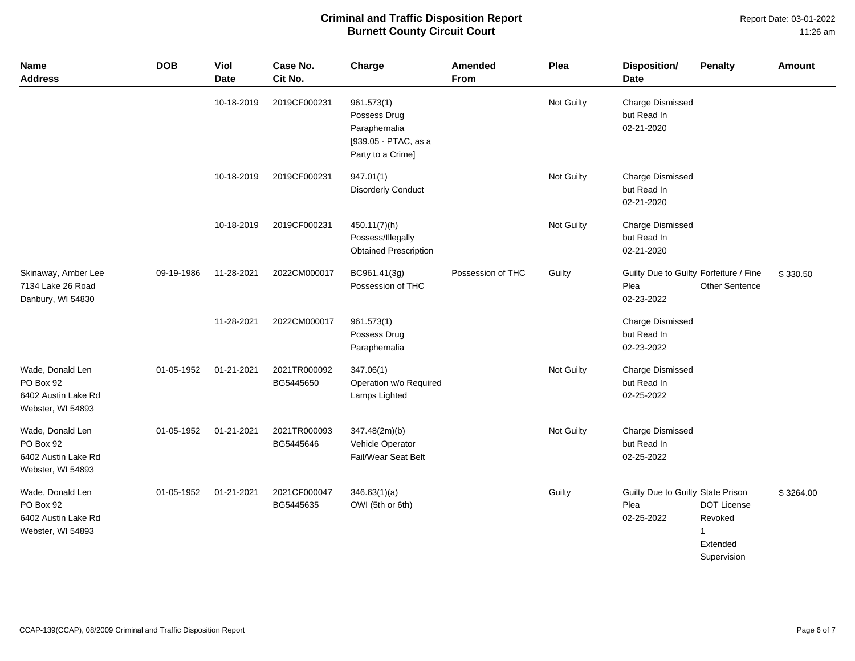Report Date: 03-01-2022 11:26 am

| <b>Name</b><br><b>Address</b>                                             | <b>DOB</b> | Viol<br><b>Date</b> | Case No.<br>Cit No.       | Charge                                                                                   | Amended<br><b>From</b> | Plea       | <b>Disposition/</b><br><b>Date</b>                           | <b>Penalty</b>                                                           | <b>Amount</b> |
|---------------------------------------------------------------------------|------------|---------------------|---------------------------|------------------------------------------------------------------------------------------|------------------------|------------|--------------------------------------------------------------|--------------------------------------------------------------------------|---------------|
|                                                                           |            | 10-18-2019          | 2019CF000231              | 961.573(1)<br>Possess Drug<br>Paraphernalia<br>[939.05 - PTAC, as a<br>Party to a Crime] |                        | Not Guilty | Charge Dismissed<br>but Read In<br>02-21-2020                |                                                                          |               |
|                                                                           |            | 10-18-2019          | 2019CF000231              | 947.01(1)<br><b>Disorderly Conduct</b>                                                   |                        | Not Guilty | <b>Charge Dismissed</b><br>but Read In<br>02-21-2020         |                                                                          |               |
|                                                                           |            | 10-18-2019          | 2019CF000231              | 450.11(7)(h)<br>Possess/Illegally<br><b>Obtained Prescription</b>                        |                        | Not Guilty | <b>Charge Dismissed</b><br>but Read In<br>02-21-2020         |                                                                          |               |
| Skinaway, Amber Lee<br>7134 Lake 26 Road<br>Danbury, WI 54830             | 09-19-1986 | 11-28-2021          | 2022CM000017              | BC961.41(3g)<br>Possession of THC                                                        | Possession of THC      | Guilty     | Guilty Due to Guilty Forfeiture / Fine<br>Plea<br>02-23-2022 | <b>Other Sentence</b>                                                    | \$330.50      |
|                                                                           |            | 11-28-2021          | 2022CM000017              | 961.573(1)<br>Possess Drug<br>Paraphernalia                                              |                        |            | <b>Charge Dismissed</b><br>but Read In<br>02-23-2022         |                                                                          |               |
| Wade, Donald Len<br>PO Box 92<br>6402 Austin Lake Rd<br>Webster, WI 54893 | 01-05-1952 | 01-21-2021          | 2021TR000092<br>BG5445650 | 347.06(1)<br>Operation w/o Required<br>Lamps Lighted                                     |                        | Not Guilty | <b>Charge Dismissed</b><br>but Read In<br>02-25-2022         |                                                                          |               |
| Wade, Donald Len<br>PO Box 92<br>6402 Austin Lake Rd<br>Webster, WI 54893 | 01-05-1952 | 01-21-2021          | 2021TR000093<br>BG5445646 | 347.48(2m)(b)<br>Vehicle Operator<br>Fail/Wear Seat Belt                                 |                        | Not Guilty | Charge Dismissed<br>but Read In<br>02-25-2022                |                                                                          |               |
| Wade, Donald Len<br>PO Box 92<br>6402 Austin Lake Rd<br>Webster, WI 54893 | 01-05-1952 | 01-21-2021          | 2021CF000047<br>BG5445635 | 346.63(1)(a)<br>OWI (5th or 6th)                                                         |                        | Guilty     | Guilty Due to Guilty State Prison<br>Plea<br>02-25-2022      | <b>DOT License</b><br>Revoked<br>$\mathbf{1}$<br>Extended<br>Supervision | \$3264.00     |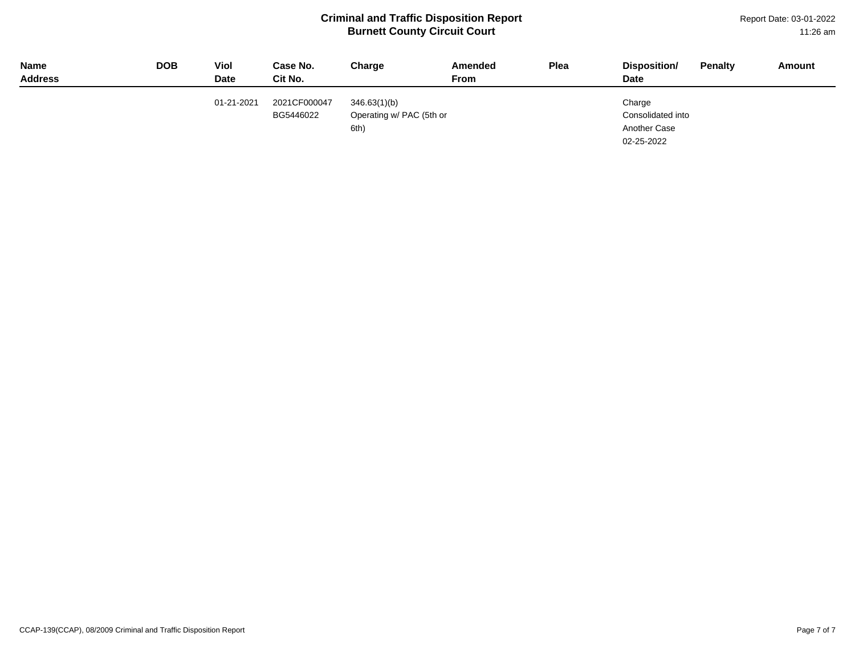Report Date: 03-01-2022 11:26 am

| <b>Name</b><br><b>Address</b> | <b>DOB</b> | Viol<br><b>Date</b> | Case No.<br>Cit No.       | Charge                                           | Amended<br>From | Plea | Disposition/<br><b>Date</b>                               | <b>Penalty</b> | Amount |
|-------------------------------|------------|---------------------|---------------------------|--------------------------------------------------|-----------------|------|-----------------------------------------------------------|----------------|--------|
|                               |            | 01-21-2021          | 2021CF000047<br>BG5446022 | 346.63(1)(b)<br>Operating w/ PAC (5th or<br>6th) |                 |      | Charge<br>Consolidated into<br>Another Case<br>02-25-2022 |                |        |